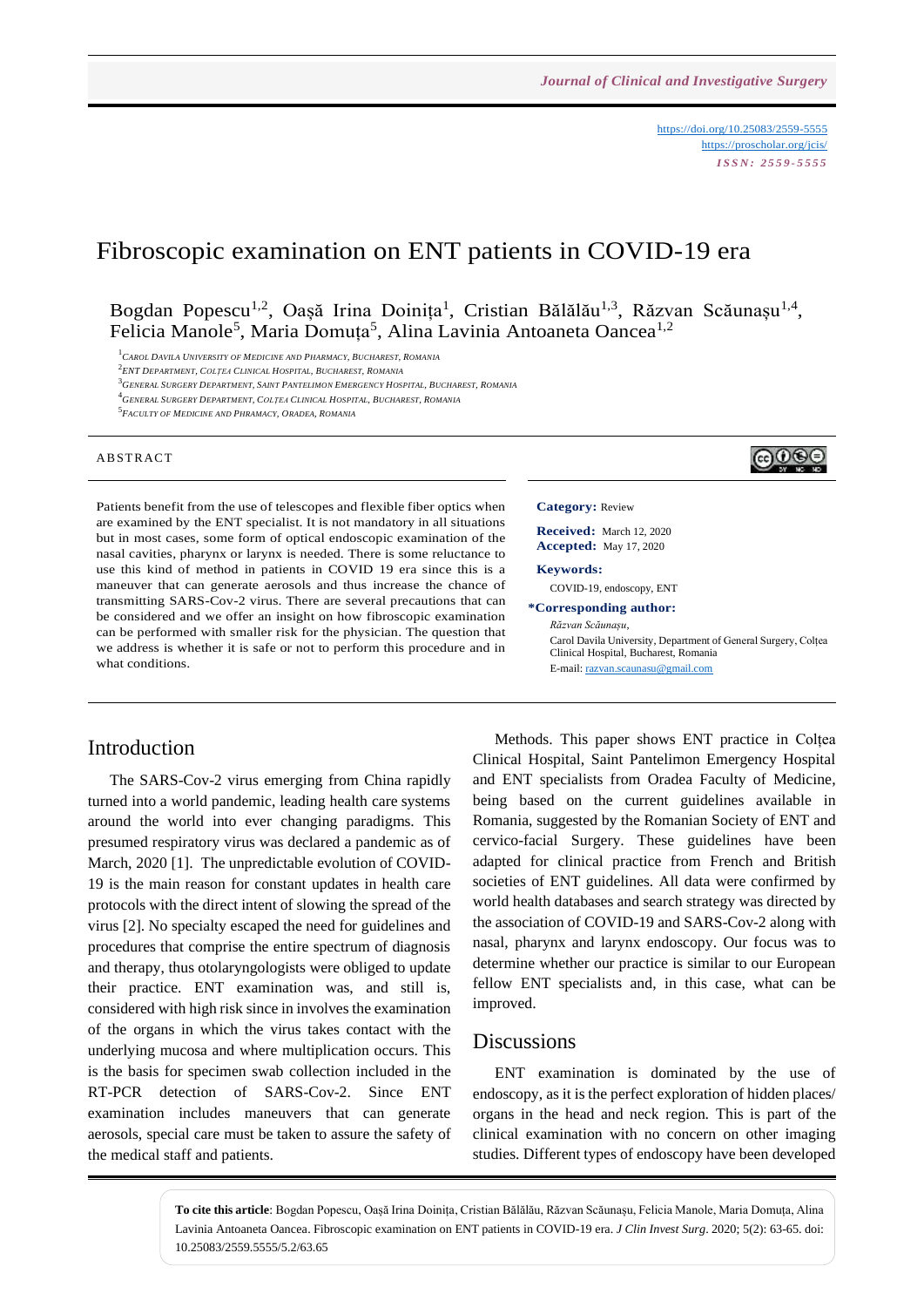<https://doi.org/10.25083/2559-5555> <https://proscholar.org/jcis/> *I S S N : 2 5 5 9 - 5 5 5 5*

# Fibroscopic examination on ENT patients in COVID-19 era

Bogdan Popescu<sup>1,2</sup>, Oașă Irina Doinița<sup>1</sup>, Cristian Bălălău<sup>1,3</sup>, Răzvan Scăunașu<sup>1,4</sup>, Felicia Manole<sup>5</sup>, Maria Domuța<sup>5</sup>, Alina Lavinia Antoaneta Oancea<sup>1,2</sup>

<sup>1</sup>*CAROL DAVILA UNIVERSITY OF MEDICINE AND PHARMACY, BUCHAREST, ROMANIA*

2 *ENT DEPARTMENT, COLȚEA CLINICAL HOSPITAL, BUCHAREST, ROMANIA*

<sup>3</sup>GENERAL SURGERY DEPARTMENT, SAINT PANTELIMON EMERGENCY HOSPITAL, BUCHAREST, ROMANIA

<sup>4</sup>*GENERAL SURGERY DEPARTMENT, COLȚEA CLINICAL HOSPITAL, BUCHAREST, ROMANIA*

5 *FACULTY OF MEDICINE AND PHRAMACY, ORADEA, ROMANIA*

#### A B STR ACT



Patients benefit from the use of telescopes and flexible fiber optics when are examined by the ENT specialist. It is not mandatory in all situations but in most cases, some form of optical endoscopic examination of the nasal cavities, pharynx or larynx is needed. There is some reluctance to use this kind of method in patients in COVID 19 era since this is a maneuver that can generate aerosols and thus increase the chance of transmitting SARS-Cov-2 virus. There are several precautions that can be considered and we offer an insight on how fibroscopic examination can be performed with smaller risk for the physician. The question that we address is whether it is safe or not to perform this procedure and in what conditions.

### Introduction

The SARS-Cov-2 virus emerging from China rapidly turned into a world pandemic, leading health care systems around the world into ever changing paradigms. This presumed respiratory virus was declared a pandemic as of March, 2020 [1]. The unpredictable evolution of COVID-19 is the main reason for constant updates in health care protocols with the direct intent of slowing the spread of the virus [2]. No specialty escaped the need for guidelines and procedures that comprise the entire spectrum of diagnosis and therapy, thus otolaryngologists were obliged to update their practice. ENT examination was, and still is, considered with high risk since in involves the examination of the organs in which the virus takes contact with the underlying mucosa and where multiplication occurs. This is the basis for specimen swab collection included in the RT-PCR detection of SARS-Cov-2. Since ENT examination includes maneuvers that can generate aerosols, special care must be taken to assure the safety of the medical staff and patients.

**Received:** March 12, 2020 **Accepted:** May 17, 2020

**Category:** Review

**Keywords:** 

COVID-19, endoscopy, ENT

**\*Corresponding author:** *Răzvan Scăunașu*,

> Carol Davila University, Department of General Surgery, Colțea Clinical Hospital, Bucharest, Romania E-mail[: razvan.scaunasu@gmail.com](mailto:razvan.scaunasu@gmail.com)

Methods. This paper shows ENT practice in Colțea Clinical Hospital, Saint Pantelimon Emergency Hospital and ENT specialists from Oradea Faculty of Medicine, being based on the current guidelines available in Romania, suggested by the Romanian Society of ENT and cervico-facial Surgery. These guidelines have been adapted for clinical practice from French and British societies of ENT guidelines. All data were confirmed by world health databases and search strategy was directed by the association of COVID-19 and SARS-Cov-2 along with nasal, pharynx and larynx endoscopy. Our focus was to determine whether our practice is similar to our European fellow ENT specialists and, in this case, what can be improved.

#### **Discussions**

ENT examination is dominated by the use of endoscopy, as it is the perfect exploration of hidden places/ organs in the head and neck region. This is part of the clinical examination with no concern on other imaging studies. Different types of endoscopy have been developed

**To cite this article**: Bogdan Popescu, Oașă Irina Doinița, Cristian Bălălău, Răzvan Scăunașu, Felicia Manole, Maria Domuța, Alina Lavinia Antoaneta Oancea. Fibroscopic examination on ENT patients in COVID-19 era. *J Clin Invest Surg*. 2020; 5(2): 63-65. doi: 10.25083/2559.5555/5.2/63.65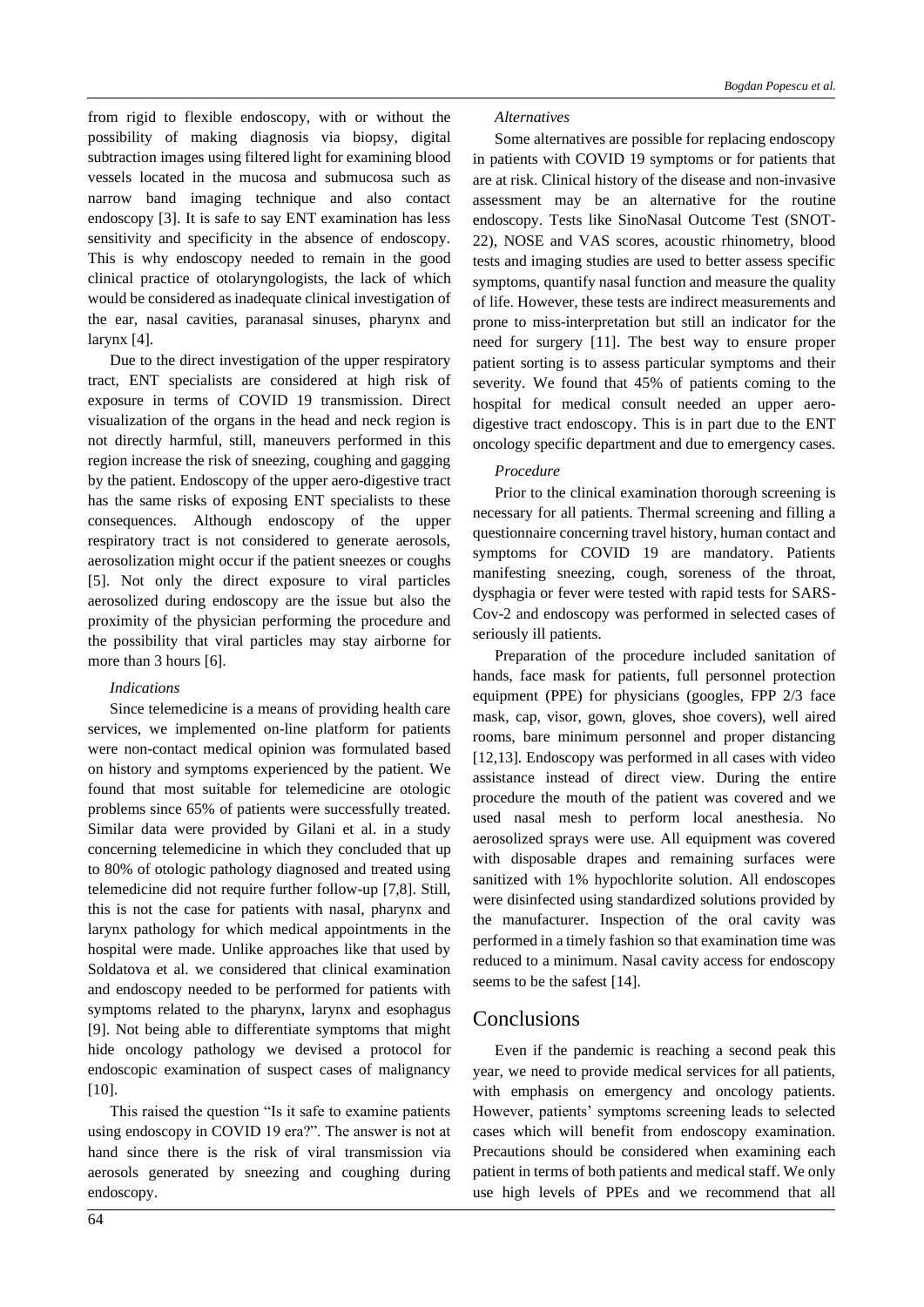from rigid to flexible endoscopy, with or without the possibility of making diagnosis via biopsy, digital subtraction images using filtered light for examining blood vessels located in the mucosa and submucosa such as narrow band imaging technique and also contact endoscopy [3]. It is safe to say ENT examination has less sensitivity and specificity in the absence of endoscopy. This is why endoscopy needed to remain in the good clinical practice of otolaryngologists, the lack of which would be considered as inadequate clinical investigation of the ear, nasal cavities, paranasal sinuses, pharynx and larynx [4].

Due to the direct investigation of the upper respiratory tract, ENT specialists are considered at high risk of exposure in terms of COVID 19 transmission. Direct visualization of the organs in the head and neck region is not directly harmful, still, maneuvers performed in this region increase the risk of sneezing, coughing and gagging by the patient. Endoscopy of the upper aero-digestive tract has the same risks of exposing ENT specialists to these consequences. Although endoscopy of the upper respiratory tract is not considered to generate aerosols, aerosolization might occur if the patient sneezes or coughs [5]. Not only the direct exposure to viral particles aerosolized during endoscopy are the issue but also the proximity of the physician performing the procedure and the possibility that viral particles may stay airborne for more than 3 hours [6].

#### *Indications*

Since telemedicine is a means of providing health care services, we implemented on-line platform for patients were non-contact medical opinion was formulated based on history and symptoms experienced by the patient. We found that most suitable for telemedicine are otologic problems since 65% of patients were successfully treated. Similar data were provided by Gilani et al. in a study concerning telemedicine in which they concluded that up to 80% of otologic pathology diagnosed and treated using telemedicine did not require further follow-up [7,8]. Still, this is not the case for patients with nasal, pharynx and larynx pathology for which medical appointments in the hospital were made. Unlike approaches like that used by Soldatova et al. we considered that clinical examination and endoscopy needed to be performed for patients with symptoms related to the pharynx, larynx and esophagus [9]. Not being able to differentiate symptoms that might hide oncology pathology we devised a protocol for endoscopic examination of suspect cases of malignancy  $[10]$ .

This raised the question "Is it safe to examine patients using endoscopy in COVID 19 era?". The answer is not at hand since there is the risk of viral transmission via aerosols generated by sneezing and coughing during endoscopy.

#### *Alternatives*

Some alternatives are possible for replacing endoscopy in patients with COVID 19 symptoms or for patients that are at risk. Clinical history of the disease and non-invasive assessment may be an alternative for the routine endoscopy. Tests like SinoNasal Outcome Test (SNOT-22), NOSE and VAS scores, acoustic rhinometry, blood tests and imaging studies are used to better assess specific symptoms, quantify nasal function and measure the quality of life. However, these tests are indirect measurements and prone to miss-interpretation but still an indicator for the need for surgery [11]. The best way to ensure proper patient sorting is to assess particular symptoms and their severity. We found that 45% of patients coming to the hospital for medical consult needed an upper aerodigestive tract endoscopy. This is in part due to the ENT oncology specific department and due to emergency cases.

#### *Procedure*

Prior to the clinical examination thorough screening is necessary for all patients. Thermal screening and filling a questionnaire concerning travel history, human contact and symptoms for COVID 19 are mandatory. Patients manifesting sneezing, cough, soreness of the throat, dysphagia or fever were tested with rapid tests for SARS-Cov-2 and endoscopy was performed in selected cases of seriously ill patients.

Preparation of the procedure included sanitation of hands, face mask for patients, full personnel protection equipment (PPE) for physicians (googles, FPP 2/3 face mask, cap, visor, gown, gloves, shoe covers), well aired rooms, bare minimum personnel and proper distancing [12,13]. Endoscopy was performed in all cases with video assistance instead of direct view. During the entire procedure the mouth of the patient was covered and we used nasal mesh to perform local anesthesia. No aerosolized sprays were use. All equipment was covered with disposable drapes and remaining surfaces were sanitized with 1% hypochlorite solution. All endoscopes were disinfected using standardized solutions provided by the manufacturer. Inspection of the oral cavity was performed in a timely fashion so that examination time was reduced to a minimum. Nasal cavity access for endoscopy seems to be the safest [14].

## Conclusions

Even if the pandemic is reaching a second peak this year, we need to provide medical services for all patients, with emphasis on emergency and oncology patients. However, patients' symptoms screening leads to selected cases which will benefit from endoscopy examination. Precautions should be considered when examining each patient in terms of both patients and medical staff. We only use high levels of PPEs and we recommend that all